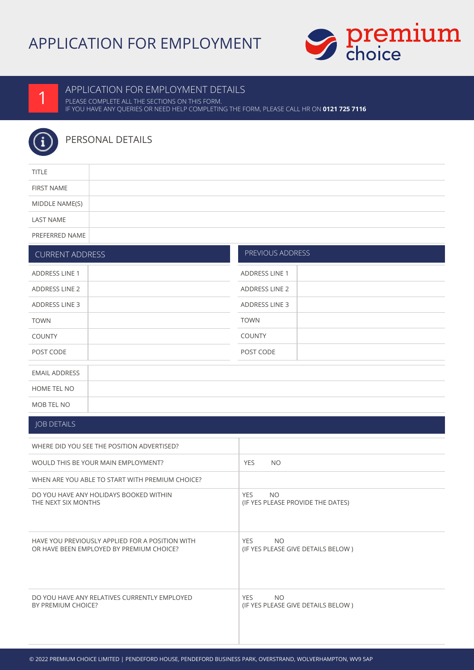# APPLICATION FOR EMPLOYMENT





### APPLICATION FOR EMPLOYMENT DETAILS

PLEASE COMPLETE ALL THE SECTIONS ON THIS FORM. IF YOU HAVE ANY QUERIES OR NEED HELP COMPLETING THE FORM, PLEASE CALL HR ON **0121 725 7116**



## PERSONAL DETAILS

| <b>TITLE</b>      |  |
|-------------------|--|
| <b>FIRST NAME</b> |  |
| MIDDLE NAME(S)    |  |
| <b>LAST NAME</b>  |  |
| PREFERRED NAME    |  |

PREVIOUS ADDRESS

### CURRENT ADDRESS

| <b>ADDRESS LINE 1</b> | <b>ADDRESS LINE 1</b> |
|-----------------------|-----------------------|
| ADDRESS LINE 2        | ADDRESS LINE 2        |
| <b>ADDRESS LINE 3</b> | <b>ADDRESS LINE 3</b> |
| <b>TOWN</b>           | <b>TOWN</b>           |
| <b>COUNTY</b>         | <b>COUNTY</b>         |
| POST CODE             | POST CODE             |
|                       |                       |
| <b>EMAIL ADDRESS</b>  |                       |
| HOME TEL NO           |                       |
|                       |                       |

# MOB TEL NO

### JOB DETAILS

| WHERE DID YOU SEE THE POSITION ADVERTISED?                                                  |                                                               |
|---------------------------------------------------------------------------------------------|---------------------------------------------------------------|
| WOULD THIS BE YOUR MAIN EMPLOYMENT?                                                         | <b>YES</b><br>NO.                                             |
| WHEN ARE YOU ABLE TO START WITH PREMIUM CHOICE?                                             |                                                               |
| DO YOU HAVE ANY HOLIDAYS BOOKED WITHIN<br>THE NEXT SIX MONTHS                               | <b>YES</b><br>NO.<br>(IF YES PLEASE PROVIDE THE DATES)        |
| HAVE YOU PREVIOUSLY APPLIED FOR A POSITION WITH<br>OR HAVE BEEN EMPLOYED BY PREMIUM CHOICE? | <b>YES</b><br><b>NO</b><br>(IF YES PLEASE GIVE DETAILS BELOW) |
| DO YOU HAVE ANY RELATIVES CURRENTLY EMPLOYED<br>BY PREMIUM CHOICE?                          | <b>YES</b><br><b>NO</b><br>(IF YES PLEASE GIVE DETAILS BELOW) |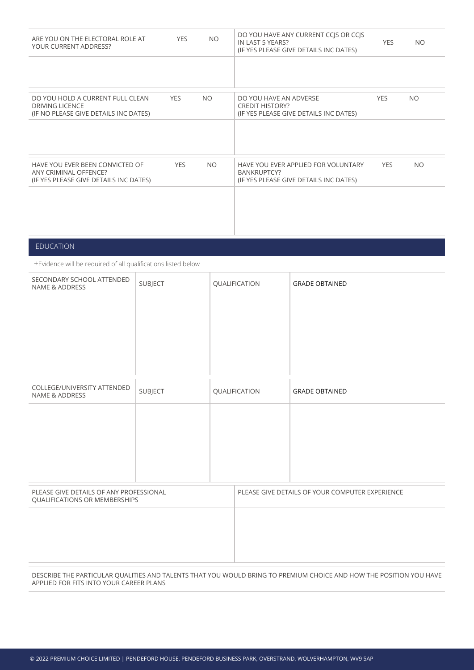| ARE YOU ON THE ELECTORAL ROLE AT<br>YOUR CURRENT ADDRESS?                                           | <b>YES</b> | NO.       | DO YOU HAVE ANY CURRENT CCJS OR CCJS<br>IN LAST 5 YEARS?<br>(IF YES PLEASE GIVE DETAILS INC DATES) | <b>YES</b> | <b>NO</b> |
|-----------------------------------------------------------------------------------------------------|------------|-----------|----------------------------------------------------------------------------------------------------|------------|-----------|
|                                                                                                     |            |           |                                                                                                    |            |           |
| DO YOU HOLD A CURRENT FULL CLEAN<br><b>DRIVING LICENCE</b><br>(IF NO PLEASE GIVE DETAILS INC DATES) | <b>YES</b> | NO.       | DO YOU HAVE AN ADVERSE<br><b>CREDIT HISTORY?</b><br>(IF YES PLEASE GIVE DETAILS INC DATES)         | <b>YES</b> | <b>NO</b> |
|                                                                                                     |            |           |                                                                                                    |            |           |
| HAVE YOU EVER BEEN CONVICTED OF<br>ANY CRIMINAL OFFENCE?<br>(IF YES PLEASE GIVE DETAILS INC DATES)  | <b>YES</b> | <b>NO</b> | HAVE YOU EVER APPLIED FOR VOLUNTARY<br>BANKRUPTCY?<br>(IF YES PLEASE GIVE DETAILS INC DATES)       | <b>YES</b> | NO.       |
|                                                                                                     |            |           |                                                                                                    |            |           |
|                                                                                                     |            |           |                                                                                                    |            |           |

### EDUCATION

+Evidence will be required of all qualifications listed below

| SECONDARY SCHOOL ATTENDED<br>NAME & ADDRESS                              | SUBJECT |  | QUALIFICATION                                   | <b>GRADE OBTAINED</b> |  |
|--------------------------------------------------------------------------|---------|--|-------------------------------------------------|-----------------------|--|
|                                                                          |         |  |                                                 |                       |  |
|                                                                          |         |  |                                                 |                       |  |
| COLLEGE/UNIVERSITY ATTENDED<br>NAME & ADDRESS                            | SUBJECT |  | QUALIFICATION                                   | <b>GRADE OBTAINED</b> |  |
|                                                                          |         |  |                                                 |                       |  |
|                                                                          |         |  |                                                 |                       |  |
|                                                                          |         |  |                                                 |                       |  |
| PLEASE GIVE DETAILS OF ANY PROFESSIONAL<br>QUALIFICATIONS OR MEMBERSHIPS |         |  | PLEASE GIVE DETAILS OF YOUR COMPUTER EXPERIENCE |                       |  |
|                                                                          |         |  |                                                 |                       |  |
|                                                                          |         |  |                                                 |                       |  |
|                                                                          |         |  |                                                 |                       |  |

#### DESCRIBE THE PARTICULAR QUALITIES AND TALENTS THAT YOU WOULD BRING TO PREMIUM CHOICE AND HOW THE POSITION YOU HAVE APPLIED FOR FITS INTO YOUR CAREER PLANS